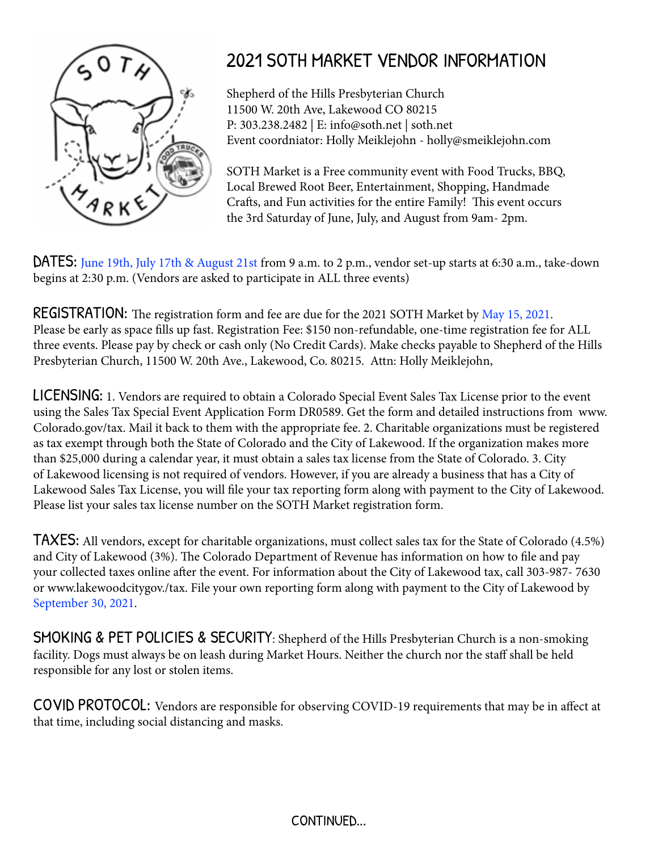

## 2021 SOTH MARKET VENDOR INFORMATION

Shepherd of the Hills Presbyterian Church 11500 W. 20th Ave, Lakewood CO 80215 P: 303.238.2482 | E: info@soth.net | soth.net Event coordniator: Holly Meiklejohn - holly@smeiklejohn.com

SOTH Market is a Free community event with Food Trucks, BBQ, Local Brewed Root Beer, Entertainment, Shopping, Handmade Crafts, and Fun activities for the entire Family! This event occurs the 3rd Saturday of June, July, and August from 9am- 2pm.

DATES: June 19th, July 17th & August 21st from 9 a.m. to 2 p.m., vendor set-up starts at 6:30 a.m., take-down begins at 2:30 p.m. (Vendors are asked to participate in ALL three events)

**REGISTRATION:** The registration form and fee are due for the 2021 SOTH Market by May 15, 2021. Please be early as space fills up fast. Registration Fee: \$150 non-refundable, one-time registration fee for ALL three events. Please pay by check or cash only (No Credit Cards). Make checks payable to Shepherd of the Hills Presbyterian Church, 11500 W. 20th Ave., Lakewood, Co. 80215. Attn: Holly Meiklejohn,

LICENSING: 1. Vendors are required to obtain a Colorado Special Event Sales Tax License prior to the event using the Sales Tax Special Event Application Form DR0589. Get the form and detailed instructions from www. Colorado.gov/tax. Mail it back to them with the appropriate fee. 2. Charitable organizations must be registered as tax exempt through both the State of Colorado and the City of Lakewood. If the organization makes more than \$25,000 during a calendar year, it must obtain a sales tax license from the State of Colorado. 3. City of Lakewood licensing is not required of vendors. However, if you are already a business that has a City of Lakewood Sales Tax License, you will file your tax reporting form along with payment to the City of Lakewood. Please list your sales tax license number on the SOTH Market registration form.

TAXES: All vendors, except for charitable organizations, must collect sales tax for the State of Colorado (4.5%) and City of Lakewood (3%). The Colorado Department of Revenue has information on how to file and pay your collected taxes online after the event. For information about the City of Lakewood tax, call 303-987- 7630 or www.lakewoodcitygov./tax. File your own reporting form along with payment to the City of Lakewood by September 30, 2021.

SMOKING & PET POLICIES & SECURITY: Shepherd of the Hills Presbyterian Church is a non-smoking facility. Dogs must always be on leash during Market Hours. Neither the church nor the staff shall be held responsible for any lost or stolen items.

COVID PROTOCOL: Vendors are responsible for observing COVID-19 requirements that may be in affect at that time, including social distancing and masks.

CONTINUED...